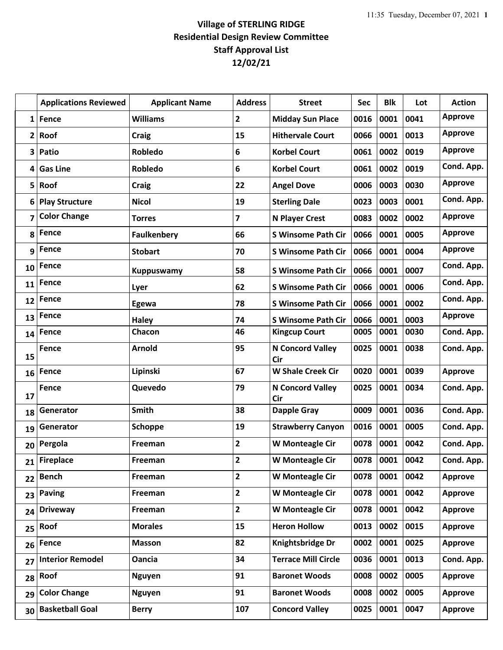## **Village of STERLING RIDGE Residential Design Review Committee Staff Approval List 12/02/21**

|                | <b>Applications Reviewed</b> | <b>Applicant Name</b> | <b>Address</b> | <b>Street</b>              | Sec  | <b>Blk</b> | Lot  | <b>Action</b>  |
|----------------|------------------------------|-----------------------|----------------|----------------------------|------|------------|------|----------------|
| $\mathbf{1}$   | <b>Fence</b>                 | <b>Williams</b>       | $\mathbf{2}$   | <b>Midday Sun Place</b>    | 0016 | 0001       | 0041 | <b>Approve</b> |
| $\overline{2}$ | Roof                         | <b>Craig</b>          | 15             | <b>Hithervale Court</b>    | 0066 | 0001       | 0013 | <b>Approve</b> |
| 3              | Patio                        | Robledo               | 6              | <b>Korbel Court</b>        | 0061 | 0002       | 0019 | <b>Approve</b> |
| 4              | <b>Gas Line</b>              | Robledo               | 6              | <b>Korbel Court</b>        | 0061 | 0002       | 0019 | Cond. App.     |
| 5              | Roof                         | <b>Craig</b>          | 22             | <b>Angel Dove</b>          | 0006 | 0003       | 0030 | <b>Approve</b> |
| 6              | <b>Play Structure</b>        | <b>Nicol</b>          | 19             | <b>Sterling Dale</b>       | 0023 | 0003       | 0001 | Cond. App.     |
| 7              | <b>Color Change</b>          | <b>Torres</b>         | 7              | <b>N Player Crest</b>      | 0083 | 0002       | 0002 | <b>Approve</b> |
| 8              | <b>Fence</b>                 | <b>Faulkenbery</b>    | 66             | <b>S Winsome Path Cir</b>  | 0066 | 0001       | 0005 | <b>Approve</b> |
| 9              | <b>Fence</b>                 | <b>Stobart</b>        | 70             | <b>S Winsome Path Cir</b>  | 0066 | 0001       | 0004 | <b>Approve</b> |
| 10             | Fence                        | <b>Kuppuswamy</b>     | 58             | <b>S Winsome Path Cir</b>  | 0066 | 0001       | 0007 | Cond. App.     |
| 11             | <b>Fence</b>                 | Lyer                  | 62             | <b>S Winsome Path Cir</b>  | 0066 | 0001       | 0006 | Cond. App.     |
| 12             | <b>Fence</b>                 | Egewa                 | 78             | <b>S Winsome Path Cir</b>  | 0066 | 0001       | 0002 | Cond. App.     |
| 13             | Fence                        | <b>Haley</b>          | 74             | <b>S Winsome Path Cir</b>  | 0066 | 0001       | 0003 | <b>Approve</b> |
| 14             | Fence                        | Chacon                | 46             | <b>Kingcup Court</b>       | 0005 | 0001       | 0030 | Cond. App.     |
| 15             | Fence                        | Arnold                | 95             | N Concord Valley<br>Cir    | 0025 | 0001       | 0038 | Cond. App.     |
| 16             | <b>Fence</b>                 | Lipinski              | 67             | <b>W Shale Creek Cir</b>   | 0020 | 0001       | 0039 | Approve        |
| 17             | <b>Fence</b>                 | Quevedo               | 79             | N Concord Valley<br>Cir    | 0025 | 0001       | 0034 | Cond. App.     |
| 18             | Generator                    | Smith                 | 38             | <b>Dapple Gray</b>         | 0009 | 0001       | 0036 | Cond. App.     |
| 19             | Generator                    | Schoppe               | 19             | <b>Strawberry Canyon</b>   | 0016 | 0001       | 0005 | Cond. App.     |
| 20             | Pergola                      | Freeman               | 2              | W Monteagle Cir            | 0078 | 0001       | 0042 | Cond. App.     |
| 21             | <b>Fireplace</b>             | Freeman               | $\overline{2}$ | W Monteagle Cir            | 0078 | 0001       | 0042 | Cond. App.     |
| 22             | <b>Bench</b>                 | Freeman               | $\overline{2}$ | W Monteagle Cir            | 0078 | 0001       | 0042 | <b>Approve</b> |
| 23             | <b>Paving</b>                | Freeman               | $\mathbf{2}$   | W Monteagle Cir            | 0078 | 0001       | 0042 | <b>Approve</b> |
| 24             | <b>Driveway</b>              | Freeman               | $\mathbf{2}$   | W Monteagle Cir            | 0078 | 0001       | 0042 | <b>Approve</b> |
| 25             | Roof                         | <b>Morales</b>        | 15             | <b>Heron Hollow</b>        | 0013 | 0002       | 0015 | <b>Approve</b> |
| 26             | <b>Fence</b>                 | <b>Masson</b>         | 82             | Knightsbridge Dr           | 0002 | 0001       | 0025 | <b>Approve</b> |
| 27             | <b>Interior Remodel</b>      | <b>Oancia</b>         | 34             | <b>Terrace Mill Circle</b> | 0036 | 0001       | 0013 | Cond. App.     |
| 28             | Roof                         | <b>Nguyen</b>         | 91             | <b>Baronet Woods</b>       | 0008 | 0002       | 0005 | <b>Approve</b> |
| 29             | <b>Color Change</b>          | <b>Nguyen</b>         | 91             | <b>Baronet Woods</b>       | 0008 | 0002       | 0005 | <b>Approve</b> |
| 30             | <b>Basketball Goal</b>       | <b>Berry</b>          | 107            | <b>Concord Valley</b>      | 0025 | 0001       | 0047 | <b>Approve</b> |